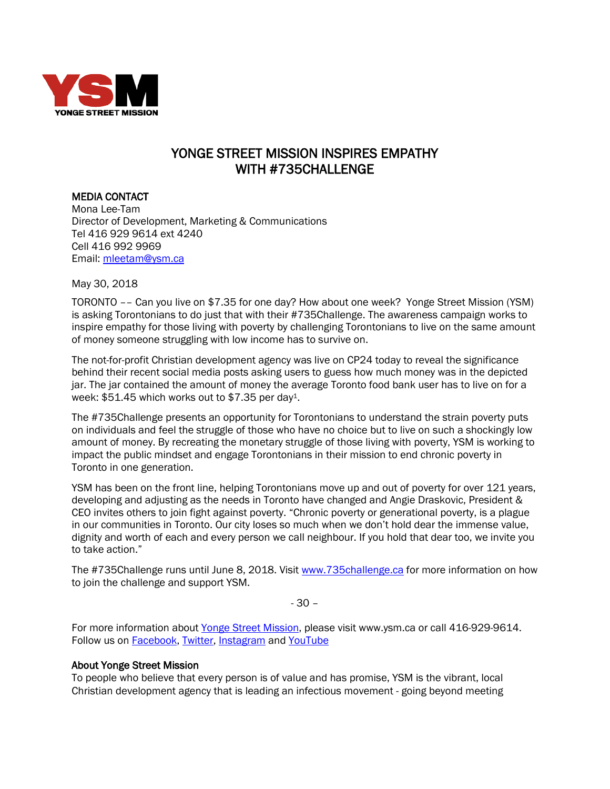

## YONGE STREET MISSION INSPIRES EMPATHY WITH #735CHALLENGE

MEDIA CONTACT

Mona Lee-Tam Director of Development, Marketing & Communications Tel 416 929 9614 ext 4240 Cell 416 992 9969 Email: [mleetam@ysm.ca](mailto:mleetam@ysm.ca)

May 30, 2018

TORONTO –– Can you live on \$7.35 for one day? How about one week? Yonge Street Mission (YSM) is asking Torontonians to do just that with their #735Challenge. The awareness campaign works to inspire empathy for those living with poverty by challenging Torontonians to live on the same amount of money someone struggling with low income has to survive on.

The not-for-profit Christian development agency was live on CP24 today to reveal the significance behind their recent social media posts asking users to guess how much money was in the depicted jar. The jar contained the amount of money the average Toronto food bank user has to live on for a week: \$51.45 which works out to \$7.35 per day1.

The #735Challenge presents an opportunity for Torontonians to understand the strain poverty puts on individuals and feel the struggle of those who have no choice but to live on such a shockingly low amount of money. By recreating the monetary struggle of those living with poverty, YSM is working to impact the public mindset and engage Torontonians in their mission to end chronic poverty in Toronto in one generation.

YSM has been on the front line, helping Torontonians move up and out of poverty for over 121 years, developing and adjusting as the needs in Toronto have changed and Angie Draskovic, President & CEO invites others to join fight against poverty. "Chronic poverty or generational poverty, is a plague in our communities in Toronto. Our city loses so much when we don't hold dear the immense value, dignity and worth of each and every person we call neighbour. If you hold that dear too, we invite you to take action."

The #735Challenge runs until June 8, 2018. Visit [www.735challenge.ca](http://www.735challenge.ca/) for more information on how to join the challenge and support YSM.

- 30 –

For more information about [Yonge Street Mission,](http://www.ysm.ca/) please visit www.ysm.ca or call 416-929-9614. Follow us on **Facebook**, [Twitter,](http://www.twitter.com/YSM_TO) Instagram and YouTube

## About Yonge Street Mission

To people who believe that every person is of value and has promise, YSM is the vibrant, local Christian development agency that is leading an infectious movement - going beyond meeting